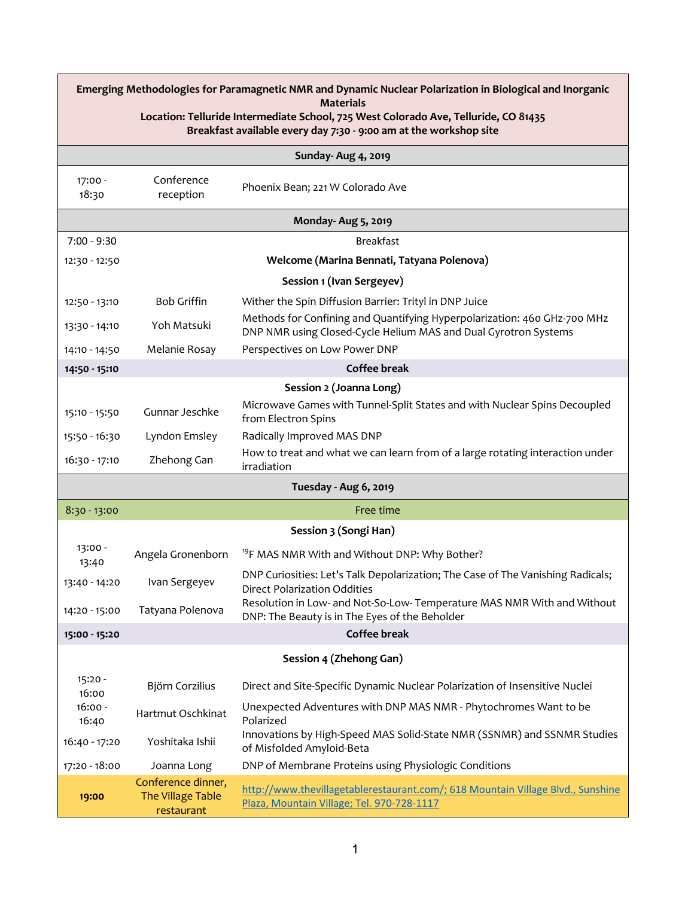| Emerging Methodologies for Paramagnetic NMR and Dynamic Nuclear Polarization in Biological and Inorganic |                                                       |                                                                                                                                             |  |  |
|----------------------------------------------------------------------------------------------------------|-------------------------------------------------------|---------------------------------------------------------------------------------------------------------------------------------------------|--|--|
| <b>Materials</b><br>Location: Telluride Intermediate School, 725 West Colorado Ave, Telluride, CO 81435  |                                                       |                                                                                                                                             |  |  |
| Breakfast available every day 7:30 - 9:00 am at the workshop site                                        |                                                       |                                                                                                                                             |  |  |
| Sunday- Aug 4, 2019                                                                                      |                                                       |                                                                                                                                             |  |  |
| 17:00 -<br>18:30                                                                                         | Conference<br>reception                               | Phoenix Bean; 221 W Colorado Ave                                                                                                            |  |  |
| <b>Monday-Aug 5, 2019</b>                                                                                |                                                       |                                                                                                                                             |  |  |
| $7:00 - 9:30$                                                                                            |                                                       | <b>Breakfast</b>                                                                                                                            |  |  |
| 12:30 - 12:50                                                                                            |                                                       | Welcome (Marina Bennati, Tatyana Polenova)                                                                                                  |  |  |
|                                                                                                          |                                                       | Session 1 (Ivan Sergeyev)                                                                                                                   |  |  |
| 12:50 - 13:10                                                                                            | <b>Bob Griffin</b>                                    | Wither the Spin Diffusion Barrier: Trityl in DNP Juice                                                                                      |  |  |
| 13:30 - 14:10                                                                                            | Yoh Matsuki                                           | Methods for Confining and Quantifying Hyperpolarization: 460 GHz-700 MHz<br>DNP NMR using Closed-Cycle Helium MAS and Dual Gyrotron Systems |  |  |
| 14:10 - 14:50                                                                                            | Melanie Rosay                                         | Perspectives on Low Power DNP                                                                                                               |  |  |
| 14:50 - 15:10                                                                                            |                                                       | <b>Coffee break</b>                                                                                                                         |  |  |
| Session 2 (Joanna Long)                                                                                  |                                                       |                                                                                                                                             |  |  |
| 15:10 - 15:50                                                                                            | Gunnar Jeschke                                        | Microwave Games with Tunnel-Split States and with Nuclear Spins Decoupled<br>from Electron Spins                                            |  |  |
| 15:50 - 16:30                                                                                            | Lyndon Emsley                                         | Radically Improved MAS DNP                                                                                                                  |  |  |
| 16:30 - 17:10                                                                                            | Zhehong Gan                                           | How to treat and what we can learn from of a large rotating interaction under<br>irradiation                                                |  |  |
| Tuesday - Aug 6, 2019                                                                                    |                                                       |                                                                                                                                             |  |  |
| $8:30 - 13:00$                                                                                           |                                                       | Free time                                                                                                                                   |  |  |
| Session 3 (Songi Han)                                                                                    |                                                       |                                                                                                                                             |  |  |
| 13:00 -<br>13:40                                                                                         | Angela Gronenborn                                     | <sup>19</sup> F MAS NMR With and Without DNP: Why Bother?                                                                                   |  |  |
| 13:40 - 14:20                                                                                            | Ivan Sergeyev                                         | DNP Curiosities: Let's Talk Depolarization; The Case of The Vanishing Radicals;<br><b>Direct Polarization Oddities</b>                      |  |  |
| 14:20 - 15:00                                                                                            | Tatyana Polenova                                      | Resolution in Low- and Not-So-Low- Temperature MAS NMR With and Without<br>DNP: The Beauty is in The Eyes of the Beholder                   |  |  |
| 15:00 - 15:20                                                                                            |                                                       | <b>Coffee break</b>                                                                                                                         |  |  |
| Session 4 (Zhehong Gan)                                                                                  |                                                       |                                                                                                                                             |  |  |
| $15:20 -$<br>16:00                                                                                       | Björn Corzilius                                       | Direct and Site-Specific Dynamic Nuclear Polarization of Insensitive Nuclei                                                                 |  |  |
| $16:00 -$<br>16:40                                                                                       | Hartmut Oschkinat                                     | Unexpected Adventures with DNP MAS NMR - Phytochromes Want to be<br>Polarized                                                               |  |  |
| 16:40 - 17:20                                                                                            | Yoshitaka Ishii                                       | Innovations by High-Speed MAS Solid-State NMR (SSNMR) and SSNMR Studies<br>of Misfolded Amyloid-Beta                                        |  |  |
| 17:20 - 18:00                                                                                            | Joanna Long                                           | DNP of Membrane Proteins using Physiologic Conditions                                                                                       |  |  |
| 19:00                                                                                                    | Conference dinner,<br>The Village Table<br>restaurant | http://www.thevillagetablerestaurant.com/; 618 Mountain Village Blvd., Sunshine<br>Plaza, Mountain Village; Tel. 970-728-1117               |  |  |